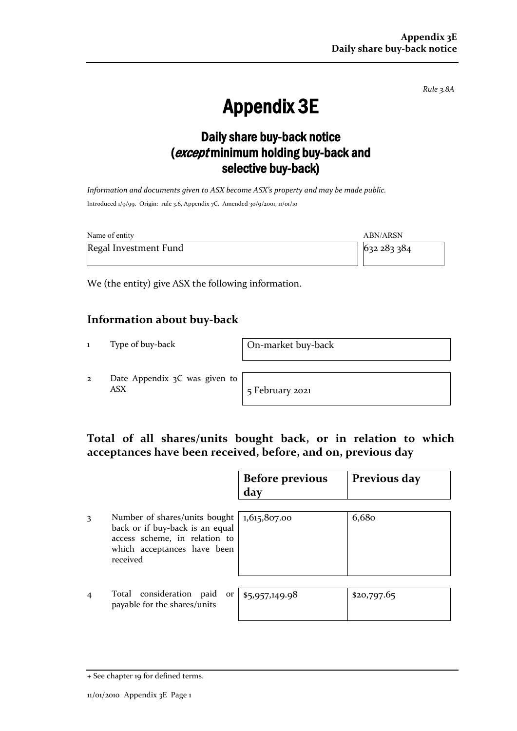*Rule 3.8A*

# Appendix 3E

## Daily share buy-back notice (except minimum holding buy-back and selective buy-back)

*Information and documents given to ASX become ASX's property and may be made public.* Introduced 1/9/99. Origin: rule 3.6, Appendix 7C. Amended 30/9/2001, 11/01/10

| Name of entity        | ABN/ARSN  |
|-----------------------|-----------|
| Regal Investment Fund | 632283384 |

We (the entity) give ASX the following information.

### **Information about buy-back**

1 Type of buy-back On-market buy-back

2 Date Appendix 3C was given to ASX 5 February 2021

### **Total of all shares/units bought back, or in relation to which acceptances have been received, before, and on, previous day**

|                |                                                                                                                                              | <b>Before previous</b><br>day | Previous day |
|----------------|----------------------------------------------------------------------------------------------------------------------------------------------|-------------------------------|--------------|
| 3              | Number of shares/units bought<br>back or if buy-back is an equal<br>access scheme, in relation to<br>which acceptances have been<br>received | 1,615,807.00                  | 6,680        |
| $\overline{4}$ | Total consideration paid<br><b>Or</b><br>payable for the shares/units                                                                        | \$5,957,149.98                | \$20,797.65  |

<sup>+</sup> See chapter 19 for defined terms.